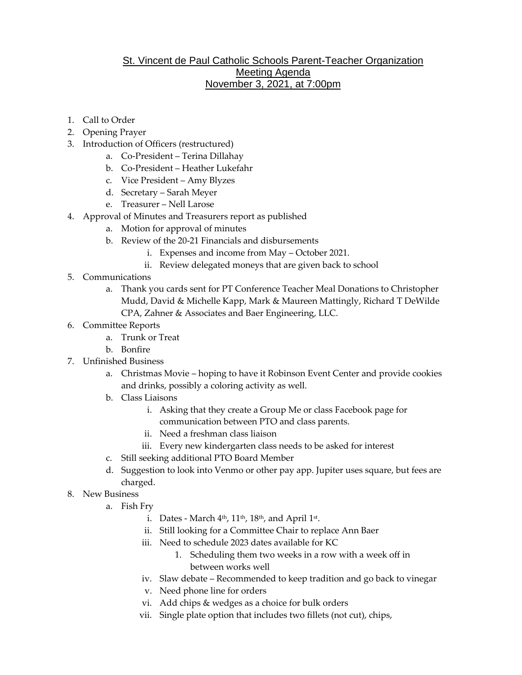## St. Vincent de Paul Catholic Schools Parent-Teacher Organization Meeting Agenda November 3, 2021, at 7:00pm

- 1. Call to Order
- 2. Opening Prayer
- 3. Introduction of Officers (restructured)
	- a. Co-President Terina Dillahay
	- b. Co-President Heather Lukefahr
	- c. Vice President Amy Blyzes
	- d. Secretary Sarah Meyer
	- e. Treasurer Nell Larose
- 4. Approval of Minutes and Treasurers report as published
	- a. Motion for approval of minutes
	- b. Review of the 20-21 Financials and disbursements
		- i. Expenses and income from May October 2021.
		- ii. Review delegated moneys that are given back to school
- 5. Communications
	- a. Thank you cards sent for PT Conference Teacher Meal Donations to Christopher Mudd, David & Michelle Kapp, Mark & Maureen Mattingly, Richard T DeWilde CPA, Zahner & Associates and Baer Engineering, LLC.
- 6. Committee Reports
	- a. Trunk or Treat
	- b. Bonfire
- 7. Unfinished Business
	- a. Christmas Movie hoping to have it Robinson Event Center and provide cookies and drinks, possibly a coloring activity as well.
	- b. Class Liaisons
		- i. Asking that they create a Group Me or class Facebook page for communication between PTO and class parents.
		- ii. Need a freshman class liaison
		- iii. Every new kindergarten class needs to be asked for interest
	- c. Still seeking additional PTO Board Member
	- d. Suggestion to look into Venmo or other pay app. Jupiter uses square, but fees are charged.
- 8. New Business
	- a. Fish Fry
		- i.  $\,$  Dates March  $4^{\rm th}$ ,  $11^{\rm th}$ ,  $18^{\rm th}$ , and April 1 $^{\rm st}$ .
		- ii. Still looking for a Committee Chair to replace Ann Baer
		- iii. Need to schedule 2023 dates available for KC
			- 1. Scheduling them two weeks in a row with a week off in between works well
		- iv. Slaw debate Recommended to keep tradition and go back to vinegar
		- v. Need phone line for orders
		- vi. Add chips & wedges as a choice for bulk orders
		- vii. Single plate option that includes two fillets (not cut), chips,